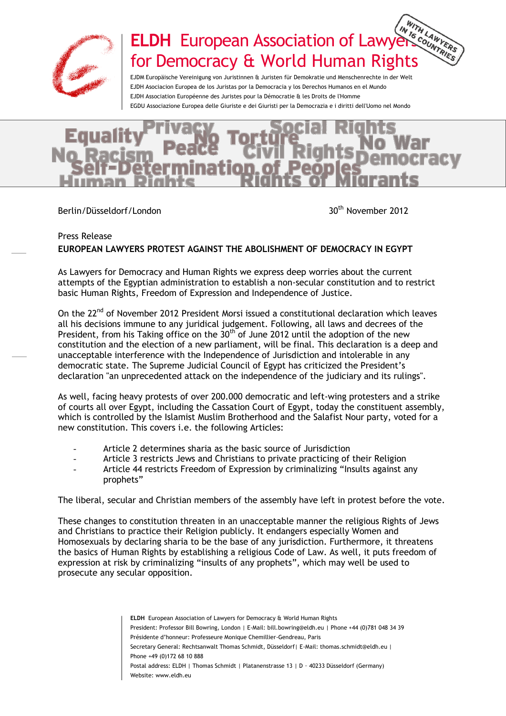

## ELDH European Association of Lawyers Counters for Democracy & World Human Rights

EJDM Europäische Vereinigung von Juristinnen & Juristen für Demokratie und Menschenrechte in der Welt EJDH Asociacion Europea de los Juristas por la Democracia y los Derechos Humanos en el Mundo EJDH Association Européenne des Juristes pour la Démocratie & les Droits de l'Homme EGDU Associazione Europea delle Giuriste e dei Giuristi per la Democrazia e i diritti dell'Uomo nel Mondo

Berlin/Düsseldorf/London 30<sup>th</sup> November 2012

## Press Release

## **EUROPEAN LAWYERS PROTEST AGAINST THE ABOLISHMENT OF DEMOCRACY IN EGYPT**

As Lawyers for Democracy and Human Rights we express deep worries about the current attempts of the Egyptian administration to establish a non-secular constitution and to restrict basic Human Rights, Freedom of Expression and Independence of Justice.

On the 22<sup>nd</sup> of November 2012 President Morsi issued a constitutional declaration which leaves all his decisions immune to any juridical judgement. Following, all laws and decrees of the President, from his Taking office on the  $30<sup>th</sup>$  of June 2012 until the adoption of the new constitution and the election of a new parliament, will be final. This declaration is a deep and unacceptable interference with the Independence of Jurisdiction and intolerable in any democratic state. The Supreme Judicial Council of Egypt has criticized the President's declaration "an unprecedented attack on the independence of the judiciary and its rulings".

As well, facing heavy protests of over 200.000 democratic and left-wing protesters and a strike of courts all over Egypt, including the Cassation Court of Egypt, today the constituent assembly, which is controlled by the Islamist Muslim Brotherhood and the Salafist Nour party, voted for a new constitution. This covers i.e. the following Articles:

- Article 2 determines sharia as the basic source of Jurisdiction
- Article 3 restricts Jews and Christians to private practicing of their Religion
- Article 44 restricts Freedom of Expression by criminalizing "Insults against any prophets"

The liberal, secular and Christian members of the assembly have left in protest before the vote.

These changes to constitution threaten in an unacceptable manner the religious Rights of Jews and Christians to practice their Religion publicly. It endangers especially Women and Homosexuals by declaring sharia to be the base of any jurisdiction. Furthermore, it threatens the basics of Human Rights by establishing a religious Code of Law. As well, it puts freedom of expression at risk by criminalizing "insults of any prophets", which may well be used to prosecute any secular opposition.

> **ELDH** European Association of Lawyers for Democracy & World Human Rights President: Professor Bill Bowring, London | E-Mail: bill.bowring@eldh.eu | Phone +44 (0)781 048 34 39 Présidente d'honneur: Professeure Monique Chemillier-Gendreau, Paris Secretary General: Rechtsanwalt Thomas Schmidt, Düsseldorf| E-Mail: thomas.schmidt@eldh.eu | Phone +49 (0)172 68 10 888 Postal address: ELDH | Thomas Schmidt | Platanenstrasse 13 | D – 40233 Düsseldorf (Germany) Website: www.eldh.eu